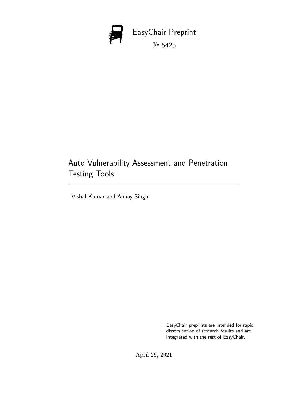

# Auto Vulnerability Assessment and Penetration Testing Tools

Vishal Kumar and Abhay Singh

EasyChair preprints are intended for rapid dissemination of research results and are integrated with the rest of EasyChair.

April 29, 2021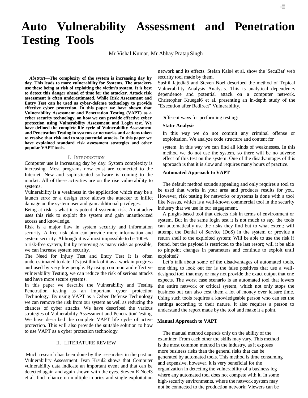# **Auto Vulnerability Assessment and Penetration Testing Tools**

Mr Vishal Kumar, Mr Abhay PratapSingh

*Abstract***—The complexity of the system is increasing day by day. This leads to more vulnerability for Systems. The attackers use these being at risk of exploiting the victim's system. It is best to detect this danger ahead of time for the attacker. Attack risk assessment is often underestimated. While Risk Assessment and Entry Test can be used as cyber-defense technology to provide effective cyber protection. In this paper we have shown that Vulnerability Assessment and Penetration Testing (VAPT) as a cyber security technology, on how we can provide effective cyber protection using Vulnerability Assessment and Login test. We have defined the complete life cycle of Vulnerability Assessment and Penetration Testing in systems or networks and actions taken to resolve that risk and to stop potential attacks. In this paper we have explained standard risk assessment strategies and other popular VAPT tools.**

#### I. INTRODUCTION

Computer use is increasing day by day. System complexity is increasing. Most programs now exist are connected to the Internet. New and sophisticated software is coming to the market. All of these activities are on the rise vulnerability to systems.

Vulnerability is a weakness in the application which may be a launch error or a design error allows the attacker to inflict damage on the system user and gain additional privileges.

Being at risk is what it is potential systemic risk. An attacker uses this risk to exploit the system and gain unauthorized access and knowledge.

Risk is a major flaw in system security and information security. A free risk plan can provide more information and system security. Although it is almost impossible to be 100%

a risk-free system, but by removing as many risks as possible, we can increase system security.

The Need for Injury Test and Entry Test It is often underestimated to date. It's just think of it as a work in progress and used by very few people. By using common and effective vulnerability Testing, we can reduce the risk of serious attacks and have more secure systems.

In this paper we describe the Vulnerability and Testing Penetration testing as an important cyber protection Technology. By using VAPT as a Cyber Defense Technology we can remove the risk from our system as well as reducing the chances of cyber attacks. We have described the various strategies of Vulnerability Assessment and PenetrationTesting. We have described the complete VAPT life cycle of active protection. This will also provide the suitable solution to how to use VAPT as a cyber protection technology.

# II. LITERATURE REVIEW

Much research has been done by the researcher in the past on Vulnerability Assessment. Ivan Krsul2 shows that Computer vulnerability data indicate an important event and that can be detected again and again shown with the eyes. Steven E Noel3 et al. find reliance on multiple injuries and single exploitation

network and its effects. Stefan Kals4 et al. show the 'SecuBat' web security tool made by them.

E,

Sushil Jajodia5 and Steven Noel described the method of Topical Vulnerability Analysis Analysis. This is analytical dependency dependence and potential attack on a computer network. Christopher Kruegel6 et al. presenting an in-depth study of the "Execution after Redirect" Vulnerability.

Different ways for performing testing:

#### **Static Analysis**

In this way we do not commit any criminal offense or exploitation. We analyze code structure and content for

system. In this way we can find all kinds of weaknesses. In this method we do not use the system, so there will be no adverse effect of this test on the system. One of the disadvantages of this approach is that it is slow and requires many hours of practice.

#### **Automated Approach to VAPT**

The default method sounds appealing and only requires a tool to be used that works in your area and produces results for you. However, risk testing for networks or systems is done with a tool like Nessus, which is a well-known commercial tool in the security industry that we use in our engagement.

A plugin-based tool that detects risk in terms of environment or system. But in the same login test it is not much to say, the tools can automatically use the risks they find but to what extent; will attempt the Denial of Service (DoS) in the system or provide a return shell to the exploited system; Will be able to use the risk if found, but the payload is restricted to the last resort; will it be able to pinpoint changes in parameters and continue to exploit until exploited?

Let's talk about some of the disadvantages of automated tools, one thing to look out for is the false positives that use a welldesigned tool that may or may not provide the exact output that one expects. The worst case scenario is an automated tool that lowers the entire network or critical system, which not only stops the business but can also cost them a lot of money over leisure time. Using such tools requires a knowledgeable person who can set the settings according to their nature. It also requires a person to understand the report made by the tool and make it a point.

#### **Manual Approach to VAPT**

The manual method depends only on the ability of the examiner. From each other the skills may vary. This method is the most common method in the industry, as it exposes more business risks than the general risks that can be generated by automated tools. This method is time consuming and expensive, however, it is very beneficial for the organization in detecting the vulnerability of a business log where any automated tool does not compete with it. In some high-security environments, where the network system may not be connected to the production network; Viewers can be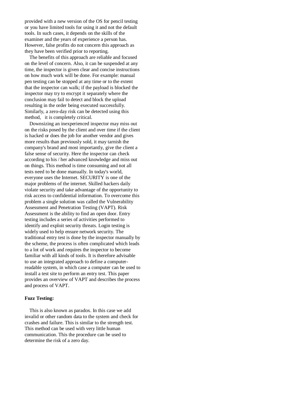provided with a new version of the OS for pencil testing or you have limited tools for using it and not the default tools. In such cases, it depends on the skills of the examiner and the years of experience a person has. However, false profits do not concern this approach as they have been verified prior to reporting.

The benefits of this approach are reliable and focused on the level of concern. Also, it can be suspended at any time, the inspector is given clear and concise instructions on how much work will be done. For example: manual pen testing can be stopped at any time or to the extent that the inspector can walk; if the payload is blocked the inspector may try to encrypt it separately where the conclusion may fail to detect and block the upload resulting in the order being executed successfully. Similarly, a zero-day risk can be detected using this method, it is completely critical.

Downsizing an inexperienced inspector may miss out on the risks posed by the client and over time if the client is hacked or does the job for another vendor and gives more results than previously sold, it may tarnish the company's brand and most importantly, give the client a false sense of security. Here the inspector can check according to his / her advanced knowledge and miss out on things. This method is time consuming and not all tests need to be done manually. In today's world, everyone uses the Internet. SECURITY is one of the major problems of the internet. Skilled hackers daily violate security and take advantage of the opportunity to risk access to confidential information. To overcome this problem a single solution was called the Vulnerability Assessment and Penetration Testing (VAPT). Risk Assessment is the ability to find an open door. Entry testing includes a series of activities performed to identify and exploit security threats. Login testing is widely used to help ensure network security. The traditional entry test is done by the inspector manually by the scheme, the process is often complicated which leads to a lot of work and requires the inspector to become familiar with all kinds of tools. It is therefore advisable to use an integrated approach to define a computerreadable system, in which case a computer can be used to install a test site to perform an entry test. This paper provides an overview of VAPT and describes the process and process of VAPT.

# **Fuzz Testing:**

This is also known as paradox. In this case we add invalid or other random data to the system and check for crashes and failure. This is similar to the strength test. This method can be used with very little human communication. This the procedure can be used to determine the risk of a zero day.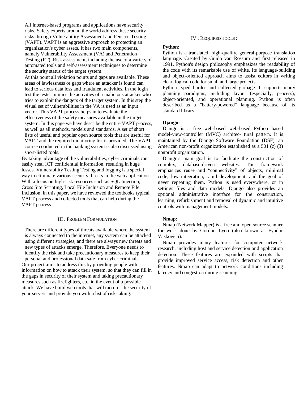All Internet-based programs and applications have security risks. Safety experts around the world address these security risks through Vulnerability Assessment and Pension Testing (VAPT). VAPT is an aggressive approach to protecting an organization's cyber assets. It has two main components, namely Vulnerability Assessment (VA) and Penetration Testing (PT). Risk assessment, including the use of a variety of automated tools and self-assessment techniques to determine the security status of the target system.

At this point all violation points and gaps are available. These areas of lawlessness or gaps where an attacker is found can lead to serious data loss and fraudulent activities. In the login test the tester mimics the activities of a malicious attacker who tries to exploit the dangers of the target system. In this step the visual set of vulnerabilities in the VA is used as an input vector. This VAPT process helps in to evaluate the effectiveness of the safety measures available in the target system. In this page we have describe the entire VAPT process, as well as all methods, models and standards. A set of short lists of useful and popular open source tools that are useful for VAPT and the required monitoring list is provided. The VAPT course conducted in the banking system is also discussed using short-listed tools.

By taking advantage of the vulnerabilities, cyber criminals can easily steal ICT confidential information, resulting in huge losses. Vulnerability Testing Testing and logging is a special way to eliminate various security threats in the web application. With a focus on high-risk resources such as SQL Injection, Cross Site Scripting, Local File Inclusion and Remote File Inclusion, in this paper, we have reviewed the textbooks typical VAPT process and collected tools that can help during the VAPT process.

#### III . PROBLEM FORMULATION

There are different types of threats available where the system is always connected to the internet, any system can be attacked using different strategies, and there are always new threats and new types of attacks emerge. Therefore, Everyone needs to identify the risk and take precautionary measures to keep their personal and professional data safe from cyber criminals. Our project aims to address this by providing people with information on how to attack their system, so that they can fill in the gaps in security of their system and taking precautionary measures such as firefighters, etc. in the event of a possible attack. We have build web tools that will monitor the security of your servers and provide you with a list of risk-taking.

#### IV . REQUIRED TOOLS :

# **Python:**

Python is a translated, high-quality, general-purpose translation language. Created by Guido van Rossum and first released in 1991, Python's design philosophy emphasizes the readability of the code with its remarkable use of white. Its language-building and object-oriented approach aims to assist editors in writing clear, logical code for small and large projects.

Python typed harder and collected garbage. It supports many planning paradigms, including layout (especially, process), object-oriented, and operational planning. Python is often described as a "battery-powered" language because of its standard library

#### **Django:**

Django is a free web-based web-based Python based model-view-controller (MVC) architec- tural pattern. It is maintained by the Django Software Foundation (DSF), an American non-profit organization established as a 501 (c) (3) nonprofit organization.

Django's main goal is to facilitate the construction of complex, database-driven websites. The framework emphasizes reuse and "connectivity" of objects, minimal code, low integration, rapid development, and the goal of never repeating them. Python is used everywhere, or in settings files and data models. Django also provides an optional administrative interface for the construction, learning, refurbishment and removal of dynamic and intuitive controls with management models.

# **Nmap:**

Nmap (Network Mapper) is a free and open source scanner for work done by Gordon Lyon (also known as Fyodor Vaskovich).

Nmap provides many features for computer network research, including host and service detection and application detection. These features are expanded with scripts that provide improved service access, risk detection and other features. Nmap can adapt to network conditions including latency and congestion during scanning.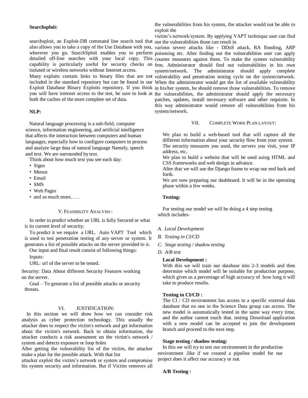#### **Searchsploit:**

searchsploit, an Exploit-DB command line search tool that out the vulnerabilities those can result in also allows you to take a copy of the Use Database with you, various severe attacks like - DDoS attack, RA flooding, ARP isolated or wireless networks without Internet access.

both the caches of the most complete set of data.

# **NLP:**

 Natural language processing is a sub-field, computer science, information engineering, and artificial intelligence that affects the interaction between computers and human languages, especially how to configure computers to process and analyze large data of natural language Namely, speech and text. We are surrounded by text.

Think about how much text you see each day:

- Signs
- Menus
- Email
- SMS
- Web Pages
- and so much more....

#### V. FEASIBILITY ANALYSIS :

In order to predict whether an URL is fully Secured or what is its current level of security.

To predict it we require a URL. Auto VAPT Tool which is used to test penetration testing of any server or system. It generates a list of possible attacks on the server provided to it.

Our input and final result consist of following things: Inputs:

URL: url of the server to be tested.

Security: Data About different Security Features working on the server.

Goal – To generate a list of possible attacks or security threats.

## VI. **ILISTIFICATION**

 In this section we will show how we can consider risk analysis as cyber protection technology. This usually the attacker does to respect the victim's network and get information about the victim's network. Back to obtain information, the attacker conducts a risk assessment on the victim's network / system and detects exposure or loop holes

After getting the vulnerability list of the victim, the attacker make a plan for the possible attack. With that list

attacker exploit the victim's network or system and compromise his system security and information. But if Victim removes all

the vulnerabilities from his system, the attacker would not be able to exploit the

victim's network/system. By applying VAPT technique user can find

wherever you go. SearchSploit enables you to perform poisoning etc. After finding out the vulnerabilities user can apply detailed off-line searches with your local copy. This counter measures against them. To make the system vulnerability capability is particularly useful for security checks on free, Administrator should find out vulnerabilities in his own Many exploits contain links to binary files that are not vulnerability and penetration testing cycle on the system/network. included in the standard repository but can be found in our When the administrator would get the list of available vulnerability Exploit Database Binary Exploits repository. If you think in his/her system, he should remove those vulnerabilities. To remove you will have internet access to the test, be sure to look at the vulnerabilities, the administrator should apply the necessary system/network. The administrator should apply complete patches, updates, install necessary software and other requisite. In this way administrator would remove all vulnerabilities from his system/network.

# VII. COMPLETE WORK PLAN LAYOUT:

We plan to build a web-based tool that will capture all the different information about your security flow from your system. The security measures you used, the servers you visit, your IP address, etc.

We plan to build a website that will be used using HTML and CSS frameworks and web design in advance.

After that we will use the Django frame to wrap our end back and forth.

We are now preparing our dashboard. It will be in the operating phase within a few weeks.

# **Testing:**

For testing our model we will be doing a 4 step testing which includes-

#### *A. Local Development*

- *B. Testing in CI/CD*
- *C. Stage testing / shadow testing*
- *D. A/B test*

#### **Local Development :**

With this we will train our database into 2-3 models and then determine which model will be suitable for production purpose, which gives us a percentage of high accuracy of how long it will take to produce results.

# **Testing in CI/CD :**

The CI / CD environment has access to a specific external data database that no one in the Science Data group can access. The new model is automatically tested in the same way every time, and the author cannot touch that. testing Download application with a new model can be accepted to join the development branch and proceed to the next step.

# **Stage testing / shadow testing:**

In this we will try to test our environment in the production environment .like if we created a pipeline model for our project does it affect our accuracy or not.

#### **A/B Testing :**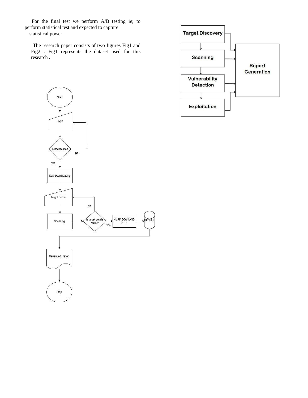For the final test we perform A/B testing ie; to perform statistical test and expected to capture statistical power.

The research paper consists of two figures Fig1 and Fig2 . Fig1 represents the dataset used for this research **.**